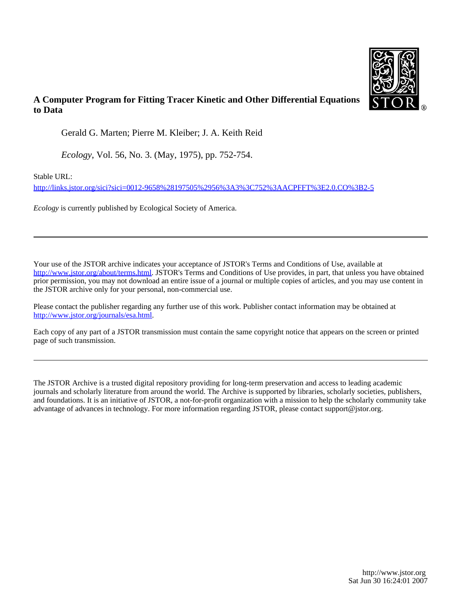

## **A Computer Program for Fitting Tracer Kinetic and Other Differential Equations to Data**

Gerald G. Marten; Pierre M. Kleiber; J. A. Keith Reid

*Ecology*, Vol. 56, No. 3. (May, 1975), pp. 752-754.

Stable URL:

<http://links.jstor.org/sici?sici=0012-9658%28197505%2956%3A3%3C752%3AACPFFT%3E2.0.CO%3B2-5>

*Ecology* is currently published by Ecological Society of America.

Your use of the JSTOR archive indicates your acceptance of JSTOR's Terms and Conditions of Use, available at [http://www.jstor.org/about/terms.html.](http://www.jstor.org/about/terms.html) JSTOR's Terms and Conditions of Use provides, in part, that unless you have obtained prior permission, you may not download an entire issue of a journal or multiple copies of articles, and you may use content in the JSTOR archive only for your personal, non-commercial use.

Please contact the publisher regarding any further use of this work. Publisher contact information may be obtained at <http://www.jstor.org/journals/esa.html>.

Each copy of any part of a JSTOR transmission must contain the same copyright notice that appears on the screen or printed page of such transmission.

The JSTOR Archive is a trusted digital repository providing for long-term preservation and access to leading academic journals and scholarly literature from around the world. The Archive is supported by libraries, scholarly societies, publishers, and foundations. It is an initiative of JSTOR, a not-for-profit organization with a mission to help the scholarly community take advantage of advances in technology. For more information regarding JSTOR, please contact support@jstor.org.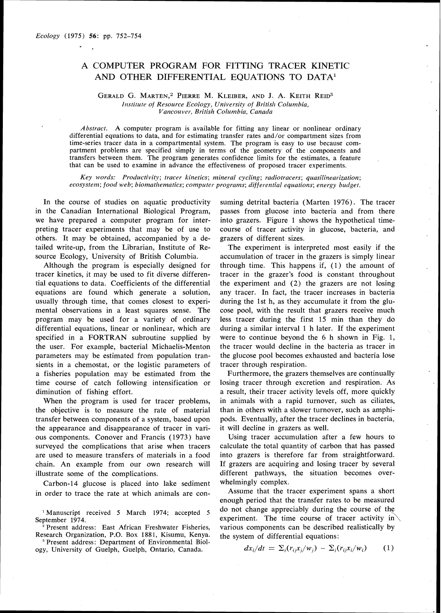## A COMPUTER PROGRAM FOR FITTING TRACER KINETIC AND OTHER DIFFERENTIAL EQUATIONS TO DATA1

## GERALDG. MARTEN," PIERRE M. KLEIBER, AND **J.** A. KEITH RED3 *Institute of Resource Ecology, University of British Columbia,*  $Vancouver, British Columbia, Canada$

*Abstract.* A computer program is available for fitting any linear or nonlinear ordinary differential equations to data, and for estimating transfer rates and/or compartment sizes from time-series tracer data in a compartmental system. The program is easy to use because compartment problems are specified simply in terms of the geometry of the components and transfers between them. The program generates confidence limits for the estimates, a feature that can be used to examine in advance the effectiveness of proposed tracer experiments.

Key words: Productivity; tracer kinetics; mineral cycling; radiotracers; quasilinearization;  $ecosystem; food web; biomathematics; computer programs; differential equations; energy budget.$ 

In the course of studies on aquatic productivity in the Canadian International Biological Program, we have prepared a computer program for interpreting tracer experiments that may be of use to others. It may be obtained, accompanied by a detailed write-up, from the Librarian, Institute of Resource Ecology, University of British Columbia.

Although the program is especially designed for tracer kinetics, it may be used to fit diverse differential equations to data. Coefficients of the differential equations are found which generate a solution, usually through time, that comes closest to experimental observations in a least squares sense. The program may be used for a variety of ordinary differential equations, linear or nonlinear, which are specified in a FORTRAN subroutine supplied by the user. For example, bacterial Michaelis-Menton parameters may be estimated from population transients in a chemostat, or the logistic parameters of a fisheries population may be estimated from the time course of catch following intensification or diminution of fishing effort.

When the program is used for tracer problems, the objective is to measure the rate of material transfer between components of a system, based upon the appearance and disappearance of tracer in various components. Conover and Francis (1973) have surveyed the complications that arise when tracers are used to measure transfers of materials in a food chain. An example from our own research will illustrate some of the complications.

Carbon-14 glucose is placed into lake sediment in order to trace the rate at which animals are con-

'Manuscript received *5* March 1974; accepted *5* 

September 1974.<br><sup>2</sup> Present address: East African Freshwater Fisheries, Research Organization, P.O. Box 1881, Kisumu, Kenya. 'Present address: Department of Environmental Biol-

ogy, University of Guelph, Guelph, Ontario, Canada.

suming detrital bacteria (Marten 1976). The tracer passes from glucose into bacteria and from there into grazers. Figure 1 shows the hypothetical timecourse of tracer activity in glucose, bacteria, and grazers of different sizes.

The experiment is interpreted most easily if the accumulation of tracer in the grazers is simply linear through time. This happens if, (1) the amount of tracer in the grazer's food is constant throughout the experiment and (2) the grazers are not losing any tracer. In fact, the tracer increases in bacteria during the 1st h, as they accumulate it from the glucose pool, with the result that grazers receive much less tracer during the first 15 min than they do during a similar interval 1 h later. If the experiment were to continue beyond the 6 h shown in Fig. 1, the tracer would decline in the bacteria as tracer in the glucose pool becomes exhausted and bacteria lose tracer through respiration.

Furthermore, the grazers themselves are continually losing tracer through excretion and respiration. As a result, their tracer activity levels off, more quickly in animals with a rapid turnover, such as ciliates, than in others with a slower turnover, such as amphipods. Eventually, after the tracer declines in bacteria, it will decline in grazers as well.

Using tracer accumulation after a few hours to calculate the total quantity of carbon that has passed into grazers is therefore far from straightforward. If grazers are acquiring and losing tracer by several different pathways, the situation becomes overwhelmingly complex.

Assume that the tracer experiment spans a short enough period that the transfer rates to be measured do not change appreciably during the course of the experiment. The time course of tracer activity in  $\setminus$ various components can be described realistically by the system of differential equations:

$$
dx_i/dt = \sum_j (r_{ij}x_j/w_j) - \sum_j (r_{ij}x_i/w_i)
$$
 (1)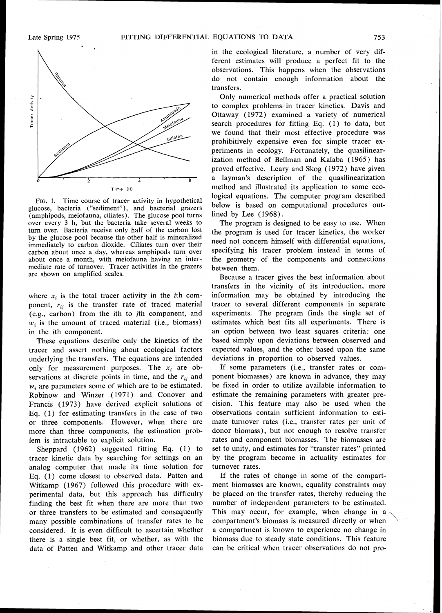

**FIG.**1. Time course of tracer activity in hypothetical glucose, bacteria ("sediment"), and bacterial grazers (amphipods, meiofauna, ciliates). The glucose pool turns over every **3** h, but the bacteria take several weeks to turn over. Bacteria receive only half of the carbon lost by the glucose pool because the other half is mineralized immediately to carbon dioxide. Ciliates turn over their carbon about once a dav, whereas amphipods turn over about once a month, with meiofauna having an intermediate rate of turnover. Tracer activities in the grazers are shown on amplified scales.

where  $x_i$  is the total tracer activity in the *i*th component,  $r_{ij}$  is the transfer rate of traced material (e.g., carbon) from the ith to jth component, and  $w_i$  is the amount of traced material (i.e., biomass) in the ith component.

These equations describe only the kinetics of the tracer and assert nothing about ecological factors underlying the transfers. The equations are intended only for measurement purposes. The  $x_i$  are observations at discrete points in time, and the  $r_{ii}$  and  $w_i$  are parameters some of which are to be estimated. Robinow and Winzer (1971) and Conover and Francis (1973) have derived explicit solutions of Eq. (1) for estimating transfers in the case of two or three components. However, when there are more than three components, the estimation problem is intractable to explicit solution.

Sheppard (1962) suggested fitting Eq. (1) to tracer kinetic data by searching for settings on an analog computer that made its time solution for Eq. (1) come closest to observed data. Patten and Witkamp (1967) followed this procedure with experimental data, but this approach has difficulty finding the best fit when there are more than two or three transfers to be estimated and consequently many possible combinations of transfer rates to be considered. It is even difficult to ascertain whether there is a single best fit, or whether, as with the data of Patten and Witkamp and other tracer data in the ecological literature, a number of very different estimates will produce a perfect fit to the observations. This happens when the observations do not contain enough information about the transfers.

Only numerical methods offer a practical solution to complex problems in tracer kinetics. Davis and Ottaway (1972) examined a variety of numerical search procedures for fitting Eq. (1) to data, but we found that their most effective procedure was prohibitively expensive even for simple tracer experiments in ecology. Fortunately, the quasilinearization method of Bellman and Kalaba (1965) has proved effective. Leary and Skog (1972) have given a layman's description of the quasilinearization method and illustrated its application to some ecological equations. The computer program described below is based on computational procedures outlined by Lee (1968).

The program is designed to be easy to use. When the program is used for tracer kinetics, the worker need not concern himself with differential equations, specifying his tracer problem instead in terms of the geometry of the components and connections between them.

Because a tracer gives the best information about transfers in the vicinity of its introduction, more information may be obtained by introducing the tracer to several different components in separate experiments. The program finds the single set of estimates which best fits all experiments. There is an option between two least squares criteria: one based simply upon deviations between observed and expected values, and the other based upon the same deviations in proportion to observed values.

If some parameters (i.e., transfer rates or component biomasses) are known in advance, they may be fixed in order to utilize available information to estimate the remaining parameters with greater precision. This feature may also be used when the observations contain sufficient information to estimate turnover rates (i.e., transfer rates per unit of donor biomass), but not enough to resolve transfer rates and component biomasses. The biomasses are set to unity, and estimates for "transfer rates" printed by the program become in actuality estimates for turnover rates.

If the rates of change in some of the compartment biomasses are known, equality constraints may be placed on the transfer rates, thereby reducing the number of independent parameters to be estimated. This may occur, for example, when change in a number of independent parameters to be estimated.<br>This may occur, for example, when change in a<br>compartment's biomass is measured directly or when<br>a compartment is known to experience no change in biomass due to steady state conditions. This feature can be critical when tracer observations do not pro